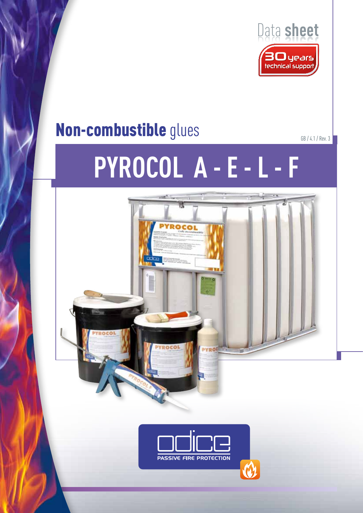

# Non-combustible glues

# **Pyrocol A - E - L - F**

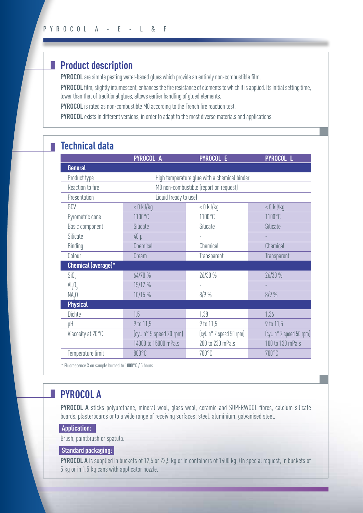# **Product description**

**PYROCOL** are simple pasting water-based glues which provide an entirely non-combustible film.

**PYROCOL** film, slightly intumescent, enhances the fire resistance of elements to which it is applied. Its initial setting time, lower than that of traditional glues, allows earlier handling of glued elements.

**PYROCOL** is rated as non-combustible M0 according to the French fire reaction test.

**PYROCOL** exists in different versions, in order to adapt to the most diverse materials and applications.

## **Technical data**

|                             | PYROCOL A                                    | <b>PYROCOL E</b>         | <b>PYROCOL L</b>         |
|-----------------------------|----------------------------------------------|--------------------------|--------------------------|
| <b>General</b>              |                                              |                          |                          |
| Product type                | High temperature glue with a chemical binder |                          |                          |
| Reaction to fire            | M0 non-combustible (report on request)       |                          |                          |
| Presentation                | Liquid (ready to use)                        |                          |                          |
| GCV                         | $< 0$ kJ/kg                                  | $< 0 \mathrm{kJ/kg}$     | $< 0$ kJ/kg              |
| Pyrometric cone             | 1100°C                                       | 1100°C                   | 1100°C                   |
| Basic component             | <b>Silicate</b>                              | Silicate                 | Silicate                 |
| Silicate                    | $40 \mu$                                     |                          |                          |
| Binding                     | Chemical                                     | Chemical                 | Chemical                 |
| Colour                      | Cream                                        | Transparent              | Transparent              |
| Chemical (average)*         |                                              |                          |                          |
| SiO <sub>2</sub>            | 64/70 %                                      | 26/30%                   | 26/30 %                  |
| $\mathrm{Al}_2\mathrm{O}_3$ | 15/17 %                                      |                          |                          |
| NA <sub>2</sub> O           | 10/15 %                                      | 8/9%                     | 8/9%                     |
| <b>Physical</b>             |                                              |                          |                          |
| Dichte                      | 1,5                                          | 1,38                     | 1,36                     |
| pH                          | 9 to 11,5                                    | 9 to 11,5                | 9 to 11,5                |
| Viscosity at 20°C           | (cyl. n° 5 speed 20 rpm)                     | (cyl. n° 2 speed 50 rpm) | (cyl. n° 2 speed 50 rpm) |
|                             | 14000 to 15000 mPa.s                         | 200 to 230 mPa.s         | 100 to 130 mPa.s         |
| Temperature limit           | 800°C                                        | 700°C                    | 700°C                    |

\* Fluorescence X on sample burned to 1000°C / 5 hours

# **PYROCOL A**

**PYROCOL A** sticks polyurethane, mineral wool, glass wool, ceramic and SUPERWOOL fibres, calcium silicate boards, plasterboards onto a wide range of receiving surfaces: steel, aluminium. galvanised steel.

#### **Application:**

Brush, paintbrush or spatula.

#### **Standard packaging:**

**PYROCOL A** is supplied in buckets of 12,5 or 22,5 kg or in containers of 1400 kg. On special request, in buckets of 5 kg or in 1,5 kg cans with applicator nozzle.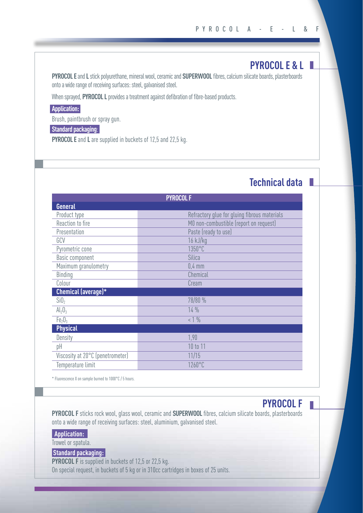### **PYROCOL E & L**

**Technical data**

**PYROCOL E** and **L** stick polyurethane, mineral wool, ceramic and **SUPERWOOL** fibres, calcium silicate boards, plasterboards onto a wide range of receiving surfaces: steel, galvanised steel.

When sprayed, **PYROCOL L** provides a treatment against defibration of fibre-based products.

#### **Application:**

Brush, paintbrush or spray gun.

#### **Standard packaging**:

**PYROCOL E** and **L** are supplied in buckets of 12,5 and 22,5 kg.

#### **PYROCOL F General** Product type **Refractory glue for gluing fibrous materials** Reaction to fire **MO** non-combustible (report on request) Presentation **Presentation** Paste (ready to use) GCV 16 kJ/kg Pyrometric cone 1350°C Basic component Silica Maximum granulometry **0,4 mm** Binding **Chemical** Colour Colour Cream Colour **Chemical (average)\***  $\sin \theta_2$  78/80 %  $Al_2O_3$  14 %  $Fe<sub>2</sub>O<sub>3</sub>$   $< 1\%$ **Physical** Density 1,90 pH 10 to 11 Viscosity at 20°C (penetrometer) 11/15 Temperature limit 1260°C

\* Fluorescence X on sample burned to 1000°C / 5 hours.

# **PYROCOL F**

**PYROCOL F** sticks rock wool, glass wool, ceramic and **SUPERWOOL** fibres, calcium silicate boards, plasterboards onto a wide range of receiving surfaces: steel, aluminium, galvanised steel.

#### **Application:**

I

Trowel or spatula.

#### **Standard packaging:**

**PYROCOL F** is supplied in buckets of 12,5 or 22,5 kg. On special request, in buckets of 5 kg or in 310cc cartridges in boxes of 25 units.